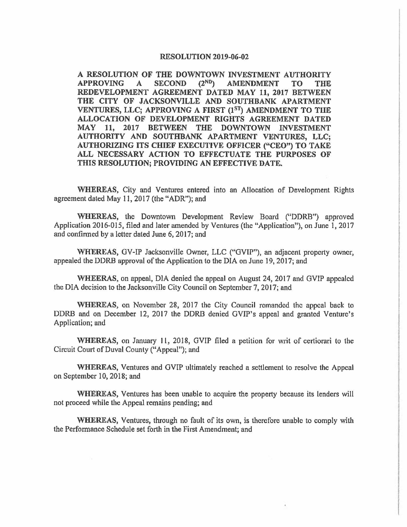## **RESOLUTION 2019-06-02**

**A RESOLUTION OF THE DOWNTOWN INVESTMENT AUTHORITY APPROVING A SECOND (2ND) AMENDMENT TO THE REDEVELOPMENT AGREEMENT DATED MAY 11, 2017 BETWEEN THE CITY OF JACKSONVILLE AND SOUTHBANK APARTMENT VENTURES, LLC; APPROVING A FIRST**  $(1^{ST})$  **AMENDMENT TO THE ALLOCATION OF DEVELOPMENT RIGHTS AGREEMENT DATED MAY 11, 2017 BETWEEN THE DOWNTOWN INVESTMENT AUTHORITY AND SOUTHBANK APARTMENT VENTURES, LLC; AUTHORIZING ITS CHIEF EXECUTIVE OFFICER ("CEO") TO TAKE ALL NECESSARY ACTION TO EFFECTUATE THE PURPOSES OF THIS RESOLUTION; PROVIDING AN EFFECTIVE DATE.** 

**WHEREAS,** City and Ventures entered into an Allocation of Development Rights agreement dated May 11, 2017 (the "ADR"); and

**WHEREAS,** the Downtown Development Review Board ("DDRB") approved Application 2016-015, filed and later amended by Ventures (the "Application"), on June 1, 2017 and confinned by a letter dated June 6, 2017; and

**WHEREAS,** GV-IP Jacksonville Owner, LLC ("GVIP''), an adjacent property owner, appealed the DDRB approval of the Application to the DIA on June 19, 2017; and

**WHEERAS,** on appeal, DIA denied the appeal on August 24, 2017 and GVIP appealed the DIA decision to the Jacksonville City Council on September 7, 2017; and

**WHEREAS,** on November 28, 2017 the City Council remanded the appeal back to DDRB and on December 12, 2017 the DDRB denied GVIP's appeal and granted Venture's Application; and

**WHEREAS,** on January 11, 2018, GVIP filed a petition for writ of certiorari to the Circuit Court of Duval County ("Appeal"); and

**WHEREAS,** Ventures and GVIP ultimately reached a settlement to resolve the Appeal on September 10, 2018; and

**WHEREAS,** Ventures has been unable to acquire the property because its lenders will not proceed while the Appeal remains pending; and

**WHEREAS,** Ventures, through no fault of its own, is therefore unable to comply with the Performance Schedule set forth in the First Amendment; and